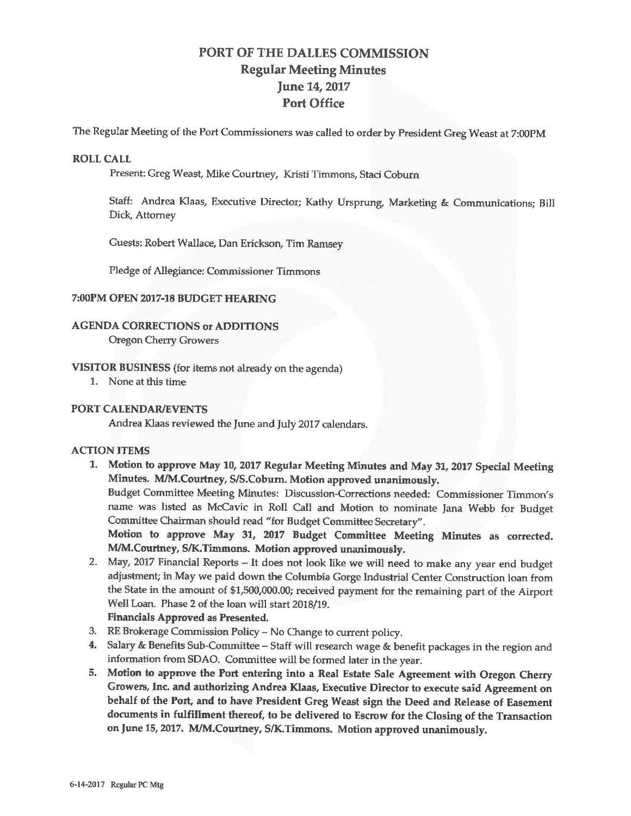# **PORT OF** THE **DALLES COMMISSION Regular Meeting** Minutes June 14, 2017 Port Office

The Regular Meeting of the Port Commissioners was called to order by President Greg Weast at 7:00PM

#### **ROLL CALL**

Present: Greg Weast, Mike Courtney, Kristi Timmons, Staci Coburn

Staff: Andrea Klaas, Executive Director; Kathy Ursprung, Marketing & Communications; Bill Dick, Attorney

Guests: Robert Wallace, Dan Erickson, Tim Ramsey

Pledge of Allegiance: Commissioner Timmons

#### **7:00PM OPEN 2017-18 BUDGET HEARING**

## **AGENDA CORRECTIONS or ADDITIONS**

Oregon Cherry Growers

- **VISITOR BUSINESS** (for items not already on the agenda)
	- 1. None at this time

#### **PORT CALENDAR/EVENTS**

Andrea Klaas reviewed the June and July 2017 calendars.

### **ACTION ITEMS**

**1. Motion to approve May 10, 2017 Regular Meeting Minutes and May 31, 2017 Special Meeting Minutes. M/M.Courtney, SIS.Coburn. Motion approved unanimously.** 

Budget Committee Meeting Minutes: Discussion~Corrections needed: Commissioner Timmon' s name was listed as McCavic in Roll Call and Motion to nominate Jana Webb for Budget Committee Chairman should read "for Budget Committee Secretary".

**Motion to approve May 31, 2017 Budget Committee Meeting Minutes as corrected. MIM.Courtney, S/K. Timmons. Motion approved unanimously.** 

2. May, 2017 Financial Reports - It does not look like we will need to make any year end budget adjustment; in May we paid down the Columbia Gorge Industrial Center Construction loan from the State in the amount of \$1,500,000.00; received payment for the remaining part of the Airport Well Loan. Phase 2 of the loan will start 2018/19.

**Financials Approved as Presented.** 

- 3. RE Brokerage Commission Policy- No Change to current policy.
- **4.** Salary & Benefits Sub-Committee Staff will research wage & benefit packages in the region and information from SDAO. Committee will be formed later in the year.
- **5. Motion to approve the Port entering into a Real Estate Sale Agreement with Oregon Cherry Growers, Inc. and authorizing Andrea Klaas, Executive Director to execute said Agreement on behalf of the Port, and to have President Greg Weast sign the Deed and Release of Easement documents in fulfillment thereof, to be delivered to Escrow for the Closing of the Transaction on June** 15, **2017. M/M.Courtney, S/K.Timmons. Motion approved unanimously.**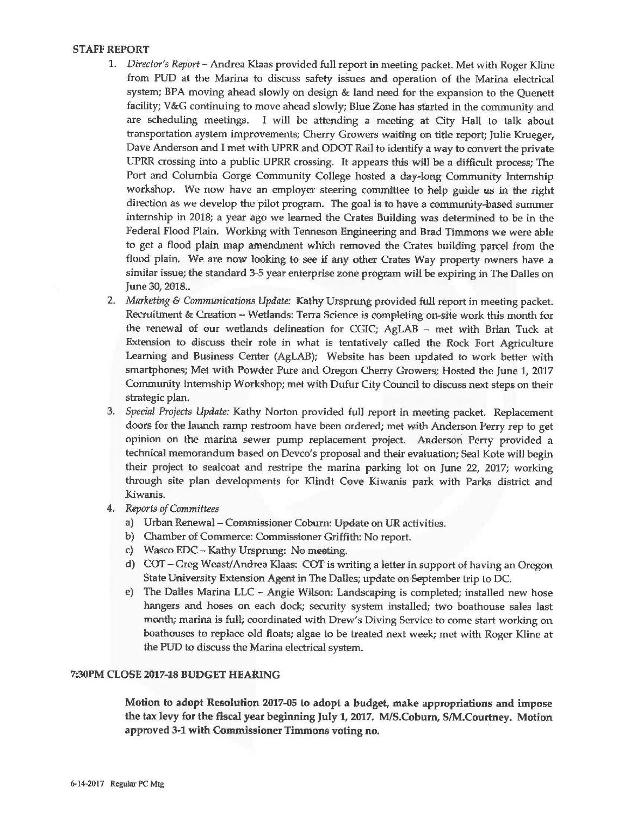#### **STAFF REPORT**

- 1. *Director's Report* -Andrea Klaas provided full report in meeting packet. Met with Roger Kline from PUD at the Marina to discuss safety issues and operation of the Marina electrical system; BPA moving ahead slowly on design & land need for the expansion to the Quenett facility; V&G continuing to move ahead slowly; Blue Zone has started in the community and are scheduling meetings. I will be attending a meeting at City Hall to talk about transportation system improvements; Cherry Growers waiting on title report; Julie Krueger, Dave Anderson and I met with UPRR and ODOT Rail to identify a way to convert the private UPRR crossing into a public UPRR crossing. It appears this will be a difficult process; The Port and Columbia Gorge Community College hosted a day-long Commumty Internship workshop. We now have an employer steering committee to help guide us in the right direction as we develop the pilot program. The goal is to have a community~based summer internship in 2018; a year ago we learned the Crates Building was determined to be in the Federal Flood Plain. Working with Tenneson Engineering and Brad Timmons we were able to get a flood plain map amendment which removed the Crates building parcel from the flood plain. We are now looking to see if any other Crates Way property owners have a similar issue; the standard 3-5 year enterprise zone program will be expiring in The Dalles on June 30, 2018..
- 2. *Marketing* & *Communications Update:* Kathy Ursprung provided full report in meeting packet. Recruitment & Creation - Wetlands: Terra Science is completing on-site work this month for the renewal of our wetlands delineation for CGIC; AgLAB - met with Brian Tuck at Extension to discuss their role in what is tentatively called the Rock Fort Agriculture Learning and Business Center (AgLAB); Website has been updated to work better with smartphones; Met with Powder Pure and Oregon Cherry Growers; Hosted the June 1, 2017 Community Internship Workshop; met with Dufur City Council to discuss next steps on their strategic plan.
- 3. *Special Projects Update:* Kathy Norton provided full report in meeting packet. Replacement doors for the launch ramp restroom have been ordered; met with Anderson Perry rep to get opinion on the marina sewer pump replacement project. Anderson Perry provided a technical memorandum based on Devco's proposal and their evaluation; Seal Kote will begin their project to sealcoat and restripe the marina parking lot on June 22, 2017; working through site plan developments for Klindt Cove Kiwanis park with Parks district and Kiwanis.
- 4. *Reports of Committees* 
	- a) Urban Renewal Commissioner Coburn: Update on UR activities.
	- b) Chamber of Commerce: Commissioner Griffith: No report.
	- c} Wasco EDC- Kathy Ursprung: No meeting.
	- d) COT- Greg Weast/Andrea Klaas: COT is writing a letter in support of having an Oregon State University Extension Agent in The Dalles; update on September trip to DC.
	- e) The Dalles Marina LLC Angie Wilson: Landscaping is completed; installed new hose hangers and hoses on each dock; security system installed; two boathouse sales last month; marina is full; coordinated with Drew's Diving Service to come start working on boathouses to replace old floats; algae to be treated next week; met with Roger Kline at the PUD to discuss the Marina electrical system.

#### **7:30PM CLOSE 2017-18 BUDGET HEARING**

Motion to adopt Resolution 2017-05 to adopt a budget, make appropriations and impose the tax levy for the fiscal year beginning July 1, 2017. M/S.Coburn, S/M.Courtney. Motion approved 3-1 with Commissioner Timmons voting no.